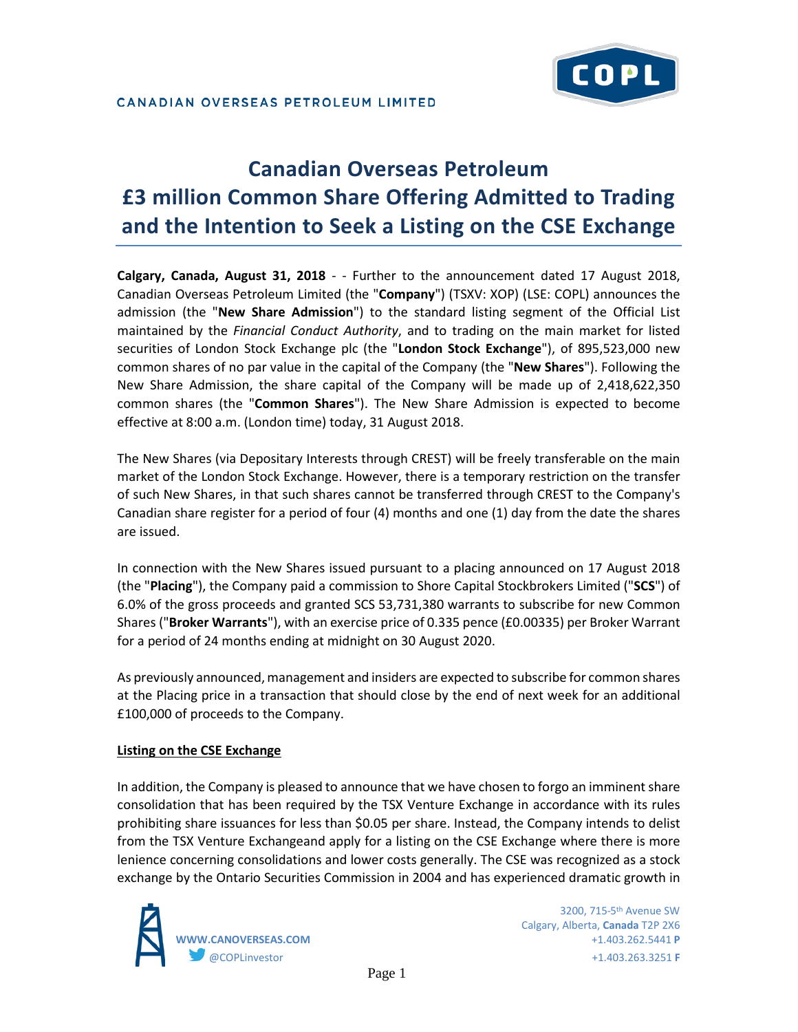

# **Canadian Overseas Petroleum £3 million Common Share Offering Admitted to Trading and the Intention to Seek a Listing on the CSE Exchange**

**Calgary, Canada, August 31, 2018** - - Further to the announcement dated 17 August 2018, Canadian Overseas Petroleum Limited (the "**Company**") (TSXV: XOP) (LSE: COPL) announces the admission (the "**New Share Admission**") to the standard listing segment of the Official List maintained by the *Financial Conduct Authority*, and to trading on the main market for listed securities of London Stock Exchange plc (the "**London Stock Exchange**"), of 895,523,000 new common shares of no par value in the capital of the Company (the "**New Shares**"). Following the New Share Admission, the share capital of the Company will be made up of 2,418,622,350 common shares (the "**Common Shares**"). The New Share Admission is expected to become effective at 8:00 a.m. (London time) today, 31 August 2018.

The New Shares (via Depositary Interests through CREST) will be freely transferable on the main market of the London Stock Exchange. However, there is a temporary restriction on the transfer of such New Shares, in that such shares cannot be transferred through CREST to the Company's Canadian share register for a period of four (4) months and one (1) day from the date the shares are issued.

In connection with the New Shares issued pursuant to a placing announced on 17 August 2018 (the "**Placing**"), the Company paid a commission to Shore Capital Stockbrokers Limited ("**SCS**") of 6.0% of the gross proceeds and granted SCS 53,731,380 warrants to subscribe for new Common Shares ("**Broker Warrants**"), with an exercise price of 0.335 pence (£0.00335) per Broker Warrant for a period of 24 months ending at midnight on 30 August 2020.

As previously announced, management and insiders are expected to subscribe for common shares at the Placing price in a transaction that should close by the end of next week for an additional £100,000 of proceeds to the Company.

# **Listing on the CSE Exchange**

In addition, the Company is pleased to announce that we have chosen to forgo an imminent share consolidation that has been required by the TSX Venture Exchange in accordance with its rules prohibiting share issuances for less than \$0.05 per share. Instead, the Company intends to delist from the TSX Venture Exchangeand apply for a listing on the CSE Exchange where there is more lenience concerning consolidations and lower costs generally. The CSE was recognized as a stock exchange by the Ontario Securities Commission in 2004 and has experienced dramatic growth in



 3200, 715-5th Avenue SW Calgary, Alberta, **Canada** T2P 2X6 **WWW.CANOVERSEAS.COM** +1.403.262.5441 **P** @COPLinvestor +1.403.263.3251 **F**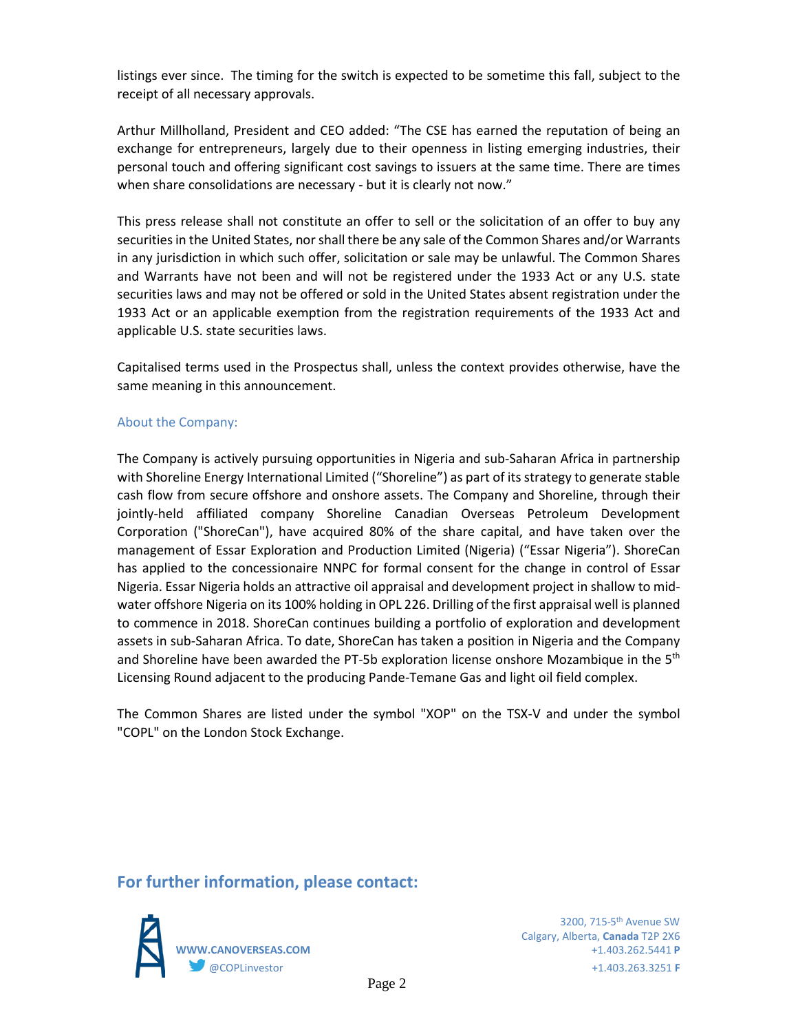listings ever since. The timing for the switch is expected to be sometime this fall, subject to the receipt of all necessary approvals.

Arthur Millholland, President and CEO added: "The CSE has earned the reputation of being an exchange for entrepreneurs, largely due to their openness in listing emerging industries, their personal touch and offering significant cost savings to issuers at the same time. There are times when share consolidations are necessary - but it is clearly not now."

This press release shall not constitute an offer to sell or the solicitation of an offer to buy any securities in the United States, nor shall there be any sale of the Common Shares and/or Warrants in any jurisdiction in which such offer, solicitation or sale may be unlawful. The Common Shares and Warrants have not been and will not be registered under the 1933 Act or any U.S. state securities laws and may not be offered or sold in the United States absent registration under the 1933 Act or an applicable exemption from the registration requirements of the 1933 Act and applicable U.S. state securities laws.

Capitalised terms used in the Prospectus shall, unless the context provides otherwise, have the same meaning in this announcement.

# About the Company:

The Company is actively pursuing opportunities in Nigeria and sub-Saharan Africa in partnership with Shoreline Energy International Limited ("Shoreline") as part of its strategy to generate stable cash flow from secure offshore and onshore assets. The Company and Shoreline, through their jointly-held affiliated company Shoreline Canadian Overseas Petroleum Development Corporation ("ShoreCan"), have acquired 80% of the share capital, and have taken over the management of Essar Exploration and Production Limited (Nigeria) ("Essar Nigeria"). ShoreCan has applied to the concessionaire NNPC for formal consent for the change in control of Essar Nigeria. Essar Nigeria holds an attractive oil appraisal and development project in shallow to midwater offshore Nigeria on its 100% holding in OPL 226. Drilling of the first appraisal well is planned to commence in 2018. ShoreCan continues building a portfolio of exploration and development assets in sub-Saharan Africa. To date, ShoreCan has taken a position in Nigeria and the Company and Shoreline have been awarded the PT-5b exploration license onshore Mozambique in the  $5<sup>th</sup>$ Licensing Round adjacent to the producing Pande-Temane Gas and light oil field complex.

The Common Shares are listed under the symbol "XOP" on the TSX-V and under the symbol "COPL" on the London Stock Exchange.

# **For further information, please contact:**



 3200, 715-5th Avenue SW Calgary, Alberta, **Canada** T2P 2X6 **WWW.CANOVERSEAS.COM** +1.403.262.5441 **P** @COPLinvestor +1.403.263.3251 **F**